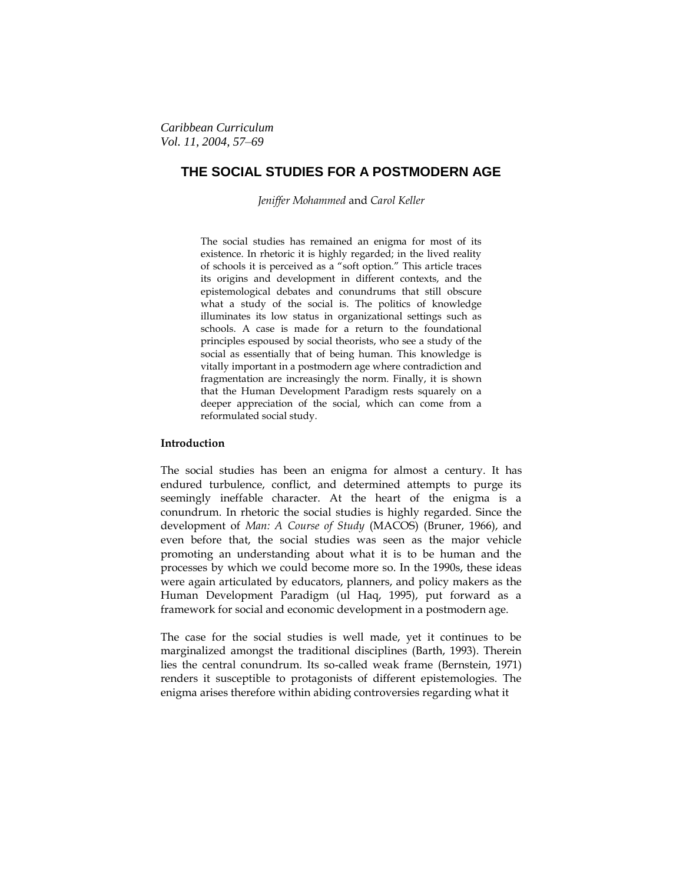# **THE SOCIAL STUDIES FOR A POSTMODERN AGE**

*Jeniffer Mohammed* and *Carol Keller*

The social studies has remained an enigma for most of its existence. In rhetoric it is highly regarded; in the lived reality of schools it is perceived as a "soft option." This article traces its origins and development in different contexts, and the epistemological debates and conundrums that still obscure what a study of the social is. The politics of knowledge illuminates its low status in organizational settings such as schools. A case is made for a return to the foundational principles espoused by social theorists, who see a study of the social as essentially that of being human. This knowledge is vitally important in a postmodern age where contradiction and fragmentation are increasingly the norm. Finally, it is shown that the Human Development Paradigm rests squarely on a deeper appreciation of the social, which can come from a reformulated social study.

# **Introduction**

The social studies has been an enigma for almost a century. It has endured turbulence, conflict, and determined attempts to purge its seemingly ineffable character. At the heart of the enigma is a conundrum. In rhetoric the social studies is highly regarded. Since the development of *Man: A Course of Study* (MACOS) (Bruner, 1966), and even before that, the social studies was seen as the major vehicle promoting an understanding about what it is to be human and the processes by which we could become more so. In the 1990s, these ideas were again articulated by educators, planners, and policy makers as the Human Development Paradigm (ul Haq, 1995), put forward as a framework for social and economic development in a postmodern age.

The case for the social studies is well made, yet it continues to be marginalized amongst the traditional disciplines (Barth, 1993). Therein lies the central conundrum. Its so-called weak frame (Bernstein, 1971) renders it susceptible to protagonists of different epistemologies. The enigma arises therefore within abiding controversies regarding what it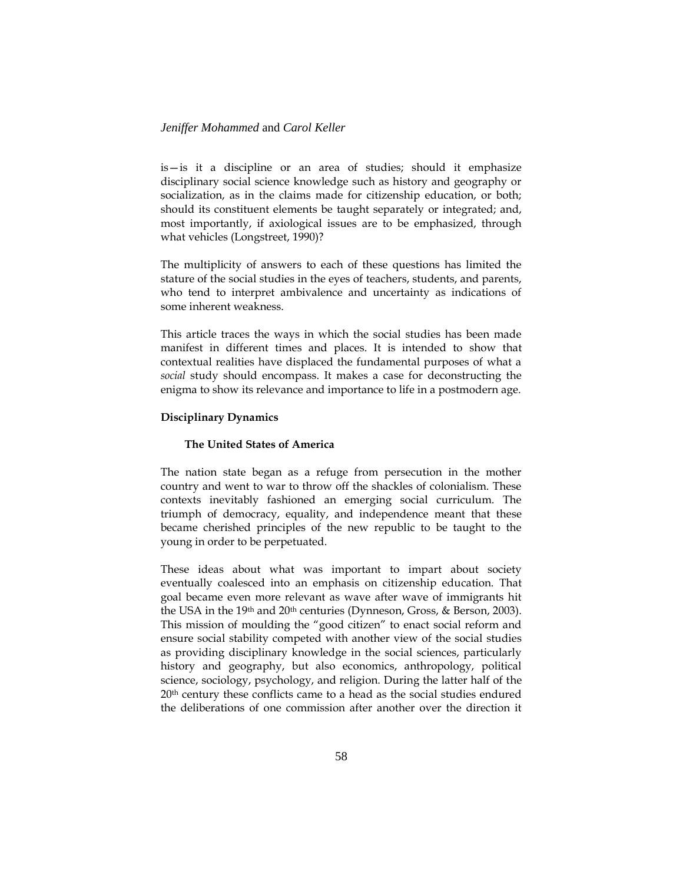is—is it a discipline or an area of studies; should it emphasize disciplinary social science knowledge such as history and geography or socialization, as in the claims made for citizenship education, or both; should its constituent elements be taught separately or integrated; and, most importantly, if axiological issues are to be emphasized, through what vehicles (Longstreet, 1990)?

The multiplicity of answers to each of these questions has limited the stature of the social studies in the eyes of teachers, students, and parents, who tend to interpret ambivalence and uncertainty as indications of some inherent weakness.

This article traces the ways in which the social studies has been made manifest in different times and places. It is intended to show that contextual realities have displaced the fundamental purposes of what a *social* study should encompass. It makes a case for deconstructing the enigma to show its relevance and importance to life in a postmodern age.

### **Disciplinary Dynamics**

### **The United States of America**

The nation state began as a refuge from persecution in the mother country and went to war to throw off the shackles of colonialism. These contexts inevitably fashioned an emerging social curriculum. The triumph of democracy, equality, and independence meant that these became cherished principles of the new republic to be taught to the young in order to be perpetuated.

These ideas about what was important to impart about society eventually coalesced into an emphasis on citizenship education. That goal became even more relevant as wave after wave of immigrants hit the USA in the 19th and 20th centuries (Dynneson, Gross, & Berson, 2003). This mission of moulding the "good citizen" to enact social reform and ensure social stability competed with another view of the social studies as providing disciplinary knowledge in the social sciences, particularly history and geography, but also economics, anthropology, political science, sociology, psychology, and religion. During the latter half of the 20<sup>th</sup> century these conflicts came to a head as the social studies endured the deliberations of one commission after another over the direction it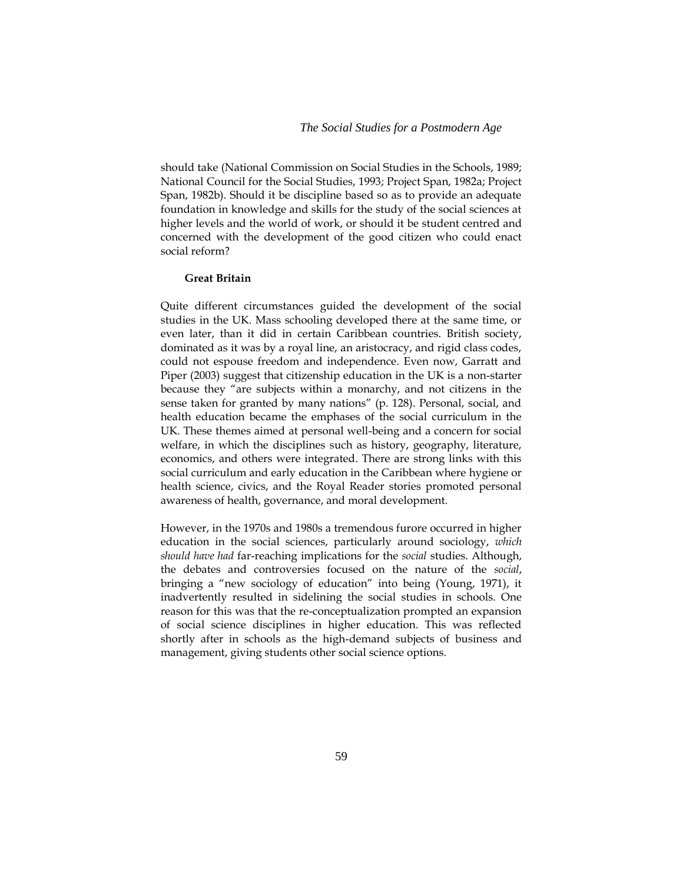should take (National Commission on Social Studies in the Schools, 1989; National Council for the Social Studies, 1993; Project Span, 1982a; Project Span, 1982b). Should it be discipline based so as to provide an adequate foundation in knowledge and skills for the study of the social sciences at higher levels and the world of work, or should it be student centred and concerned with the development of the good citizen who could enact social reform?

### **Great Britain**

Quite different circumstances guided the development of the social studies in the UK. Mass schooling developed there at the same time, or even later, than it did in certain Caribbean countries. British society, dominated as it was by a royal line, an aristocracy, and rigid class codes, could not espouse freedom and independence. Even now, Garratt and Piper (2003) suggest that citizenship education in the UK is a non-starter because they "are subjects within a monarchy, and not citizens in the sense taken for granted by many nations" (p. 128). Personal, social, and health education became the emphases of the social curriculum in the UK. These themes aimed at personal well-being and a concern for social welfare, in which the disciplines such as history, geography, literature, economics, and others were integrated. There are strong links with this social curriculum and early education in the Caribbean where hygiene or health science, civics, and the Royal Reader stories promoted personal awareness of health, governance, and moral development.

However, in the 1970s and 1980s a tremendous furore occurred in higher education in the social sciences, particularly around sociology, *which should have had* far-reaching implications for the *social* studies. Although, the debates and controversies focused on the nature of the *social*, bringing a "new sociology of education" into being (Young, 1971), it inadvertently resulted in sidelining the social studies in schools. One reason for this was that the re-conceptualization prompted an expansion of social science disciplines in higher education. This was reflected shortly after in schools as the high-demand subjects of business and management, giving students other social science options.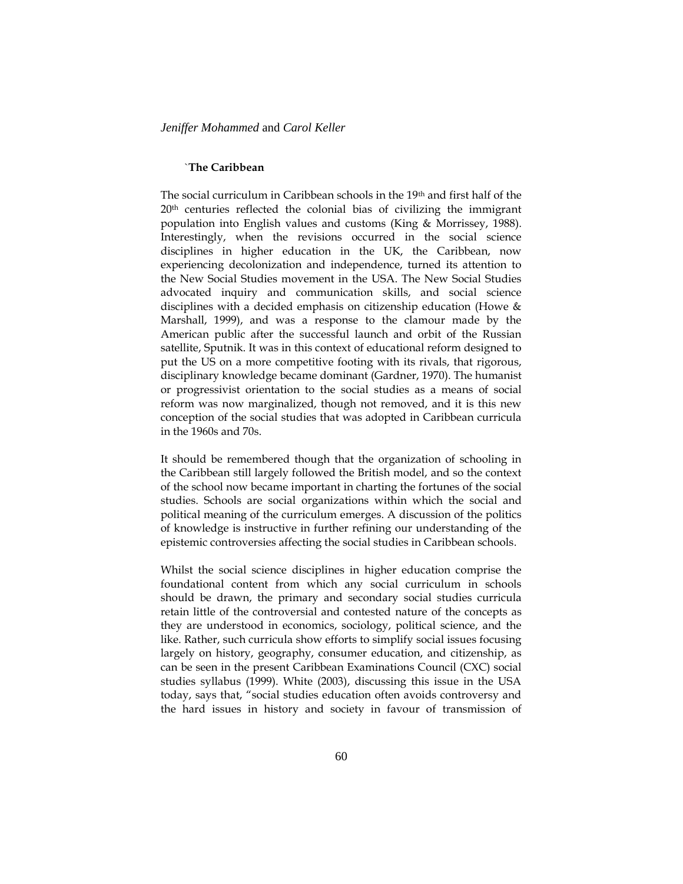### `**The Caribbean**

The social curriculum in Caribbean schools in the 19th and first half of the 20<sup>th</sup> centuries reflected the colonial bias of civilizing the immigrant population into English values and customs (King & Morrissey, 1988). Interestingly, when the revisions occurred in the social science disciplines in higher education in the UK, the Caribbean, now experiencing decolonization and independence, turned its attention to the New Social Studies movement in the USA. The New Social Studies advocated inquiry and communication skills, and social science disciplines with a decided emphasis on citizenship education (Howe & Marshall, 1999), and was a response to the clamour made by the American public after the successful launch and orbit of the Russian satellite, Sputnik. It was in this context of educational reform designed to put the US on a more competitive footing with its rivals, that rigorous, disciplinary knowledge became dominant (Gardner, 1970). The humanist or progressivist orientation to the social studies as a means of social reform was now marginalized, though not removed, and it is this new conception of the social studies that was adopted in Caribbean curricula in the 1960s and 70s.

It should be remembered though that the organization of schooling in the Caribbean still largely followed the British model, and so the context of the school now became important in charting the fortunes of the social studies. Schools are social organizations within which the social and political meaning of the curriculum emerges. A discussion of the politics of knowledge is instructive in further refining our understanding of the epistemic controversies affecting the social studies in Caribbean schools.

Whilst the social science disciplines in higher education comprise the foundational content from which any social curriculum in schools should be drawn, the primary and secondary social studies curricula retain little of the controversial and contested nature of the concepts as they are understood in economics, sociology, political science, and the like. Rather, such curricula show efforts to simplify social issues focusing largely on history, geography, consumer education, and citizenship, as can be seen in the present Caribbean Examinations Council (CXC) social studies syllabus (1999). White (2003), discussing this issue in the USA today, says that, "social studies education often avoids controversy and the hard issues in history and society in favour of transmission of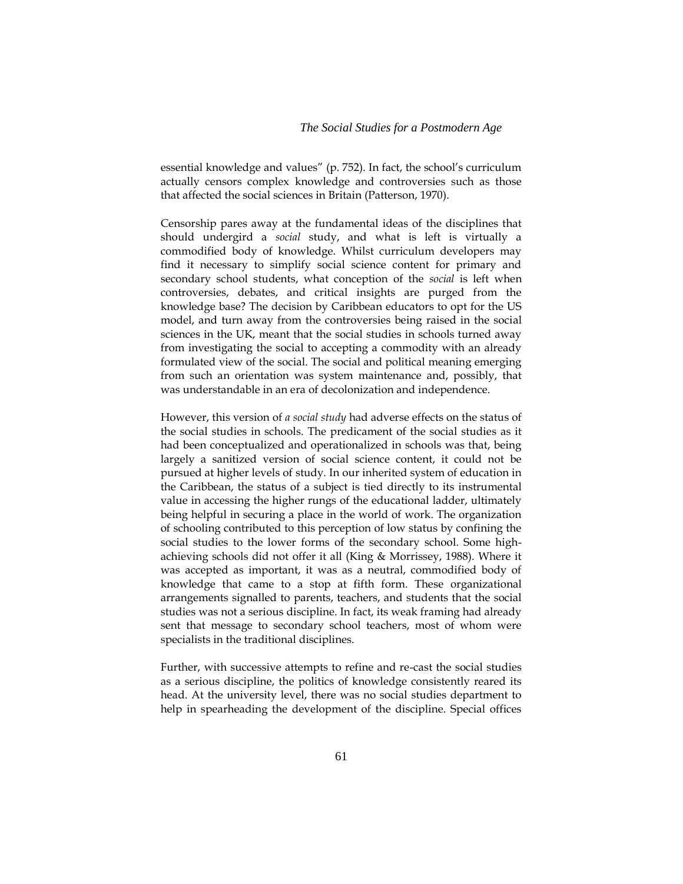essential knowledge and values" (p. 752). In fact, the school's curriculum actually censors complex knowledge and controversies such as those that affected the social sciences in Britain (Patterson, 1970).

Censorship pares away at the fundamental ideas of the disciplines that should undergird a *social* study, and what is left is virtually a commodified body of knowledge. Whilst curriculum developers may find it necessary to simplify social science content for primary and secondary school students, what conception of the *social* is left when controversies, debates, and critical insights are purged from the knowledge base? The decision by Caribbean educators to opt for the US model, and turn away from the controversies being raised in the social sciences in the UK, meant that the social studies in schools turned away from investigating the social to accepting a commodity with an already formulated view of the social. The social and political meaning emerging from such an orientation was system maintenance and, possibly, that was understandable in an era of decolonization and independence.

However, this version of *a social study* had adverse effects on the status of the social studies in schools. The predicament of the social studies as it had been conceptualized and operationalized in schools was that, being largely a sanitized version of social science content, it could not be pursued at higher levels of study. In our inherited system of education in the Caribbean, the status of a subject is tied directly to its instrumental value in accessing the higher rungs of the educational ladder, ultimately being helpful in securing a place in the world of work. The organization of schooling contributed to this perception of low status by confining the social studies to the lower forms of the secondary school. Some highachieving schools did not offer it all (King & Morrissey, 1988). Where it was accepted as important, it was as a neutral, commodified body of knowledge that came to a stop at fifth form. These organizational arrangements signalled to parents, teachers, and students that the social studies was not a serious discipline. In fact, its weak framing had already sent that message to secondary school teachers, most of whom were specialists in the traditional disciplines.

Further, with successive attempts to refine and re-cast the social studies as a serious discipline, the politics of knowledge consistently reared its head. At the university level, there was no social studies department to help in spearheading the development of the discipline. Special offices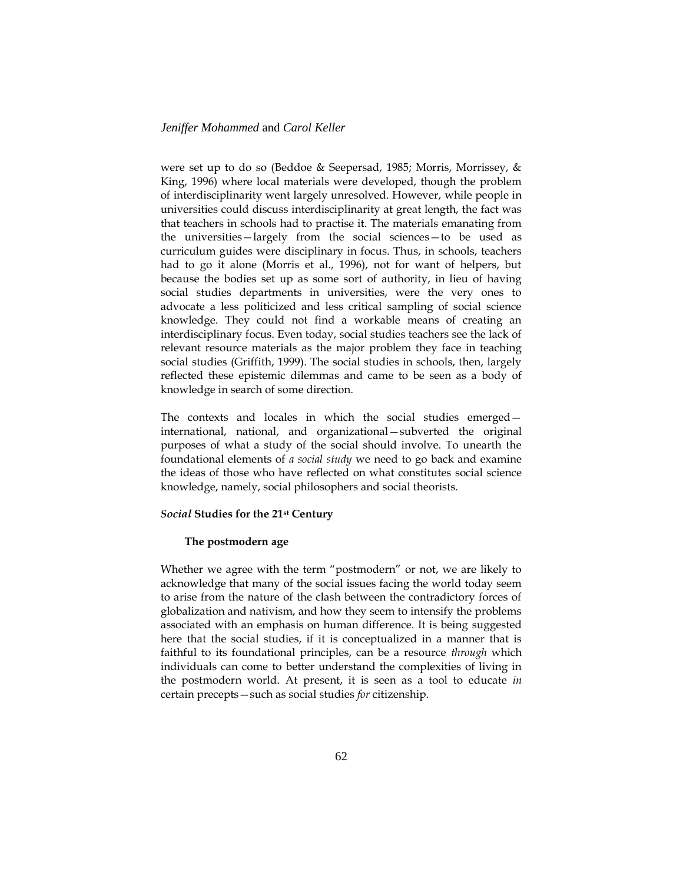were set up to do so (Beddoe & Seepersad, 1985; Morris, Morrissey, & King, 1996) where local materials were developed, though the problem of interdisciplinarity went largely unresolved. However, while people in universities could discuss interdisciplinarity at great length, the fact was that teachers in schools had to practise it. The materials emanating from the universities—largely from the social sciences—to be used as curriculum guides were disciplinary in focus. Thus, in schools, teachers had to go it alone (Morris et al., 1996), not for want of helpers, but because the bodies set up as some sort of authority, in lieu of having social studies departments in universities, were the very ones to advocate a less politicized and less critical sampling of social science knowledge. They could not find a workable means of creating an interdisciplinary focus. Even today, social studies teachers see the lack of relevant resource materials as the major problem they face in teaching social studies (Griffith, 1999). The social studies in schools, then, largely reflected these epistemic dilemmas and came to be seen as a body of knowledge in search of some direction.

The contexts and locales in which the social studies emerged international, national, and organizational—subverted the original purposes of what a study of the social should involve. To unearth the foundational elements of *a social study* we need to go back and examine the ideas of those who have reflected on what constitutes social science knowledge, namely, social philosophers and social theorists.

### *Social* **Studies for the 21st Century**

#### **The postmodern age**

Whether we agree with the term "postmodern" or not, we are likely to acknowledge that many of the social issues facing the world today seem to arise from the nature of the clash between the contradictory forces of globalization and nativism, and how they seem to intensify the problems associated with an emphasis on human difference. It is being suggested here that the social studies, if it is conceptualized in a manner that is faithful to its foundational principles, can be a resource *through* which individuals can come to better understand the complexities of living in the postmodern world. At present, it is seen as a tool to educate *in*  certain precepts—such as social studies *for* citizenship.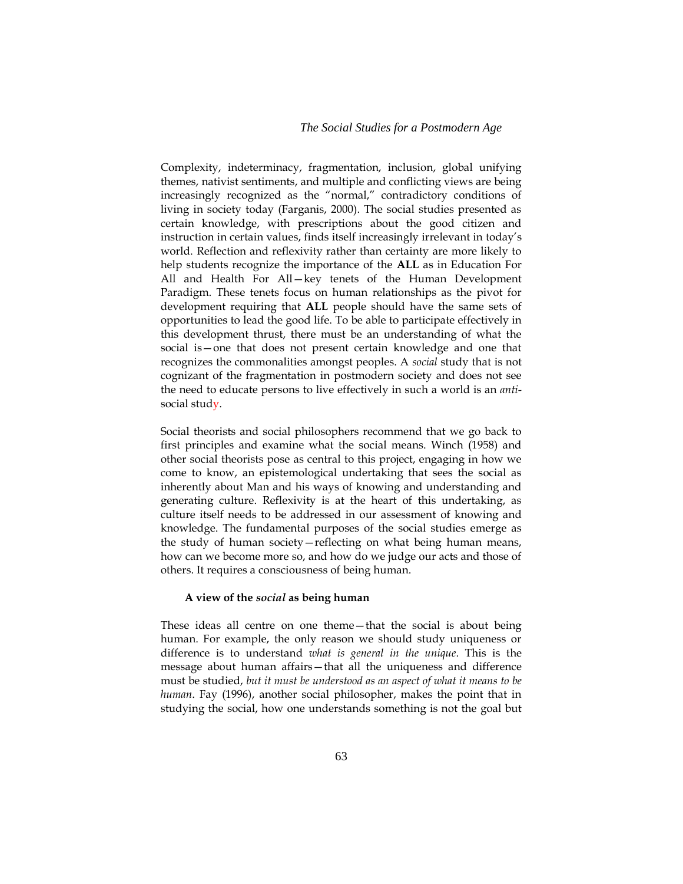Complexity, indeterminacy, fragmentation, inclusion, global unifying themes, nativist sentiments, and multiple and conflicting views are being increasingly recognized as the "normal," contradictory conditions of living in society today (Farganis, 2000). The social studies presented as certain knowledge, with prescriptions about the good citizen and instruction in certain values, finds itself increasingly irrelevant in today's world. Reflection and reflexivity rather than certainty are more likely to help students recognize the importance of the **ALL** as in Education For All and Health For All—key tenets of the Human Development Paradigm. These tenets focus on human relationships as the pivot for development requiring that **ALL** people should have the same sets of opportunities to lead the good life. To be able to participate effectively in this development thrust, there must be an understanding of what the social is—one that does not present certain knowledge and one that recognizes the commonalities amongst peoples. A *social* study that is not cognizant of the fragmentation in postmodern society and does not see the need to educate persons to live effectively in such a world is an *anti*social study.

Social theorists and social philosophers recommend that we go back to first principles and examine what the social means. Winch (1958) and other social theorists pose as central to this project, engaging in how we come to know, an epistemological undertaking that sees the social as inherently about Man and his ways of knowing and understanding and generating culture. Reflexivity is at the heart of this undertaking, as culture itself needs to be addressed in our assessment of knowing and knowledge. The fundamental purposes of the social studies emerge as the study of human society—reflecting on what being human means, how can we become more so, and how do we judge our acts and those of others. It requires a consciousness of being human.

### **A view of the** *social* **as being human**

These ideas all centre on one theme—that the social is about being human. For example, the only reason we should study uniqueness or difference is to understand *what is general in the unique*. This is the message about human affairs—that all the uniqueness and difference must be studied, *but it must be understood as an aspect of what it means to be human*. Fay (1996), another social philosopher, makes the point that in studying the social, how one understands something is not the goal but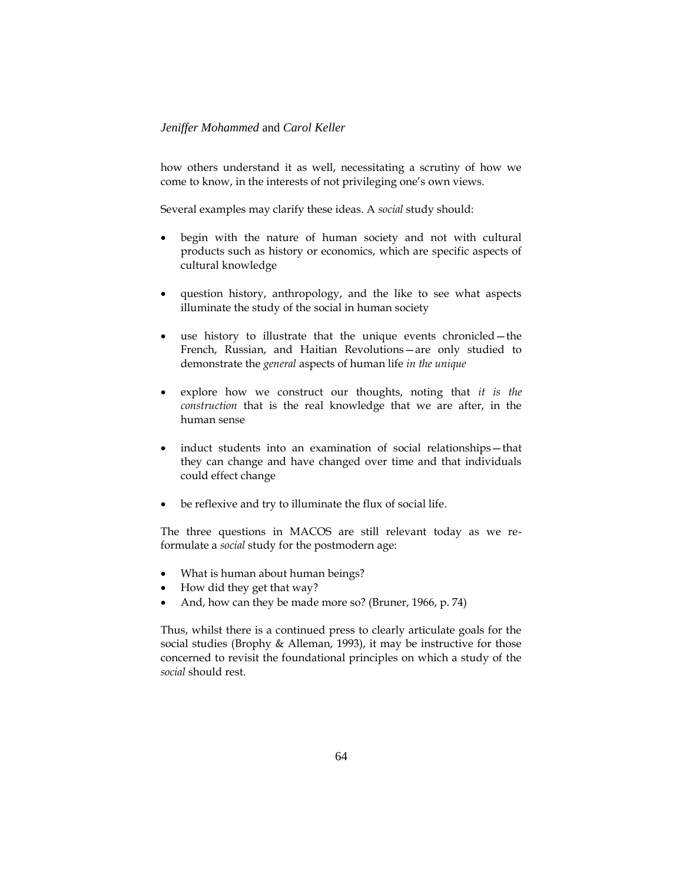how others understand it as well, necessitating a scrutiny of how we come to know, in the interests of not privileging one's own views.

Several examples may clarify these ideas. A *social* study should:

- begin with the nature of human society and not with cultural products such as history or economics, which are specific aspects of cultural knowledge
- question history, anthropology, and the like to see what aspects illuminate the study of the social in human society
- use history to illustrate that the unique events chronicled—the French, Russian, and Haitian Revolutions—are only studied to demonstrate the *general* aspects of human life *in the unique*
- explore how we construct our thoughts, noting that *it is the construction* that is the real knowledge that we are after, in the human sense
- induct students into an examination of social relationships—that they can change and have changed over time and that individuals could effect change
- be reflexive and try to illuminate the flux of social life.

The three questions in MACOS are still relevant today as we reformulate a *social* study for the postmodern age:

- What is human about human beings?
- How did they get that way?
- And, how can they be made more so? (Bruner, 1966, p. 74)

Thus, whilst there is a continued press to clearly articulate goals for the social studies (Brophy & Alleman, 1993), it may be instructive for those concerned to revisit the foundational principles on which a study of the *social* should rest.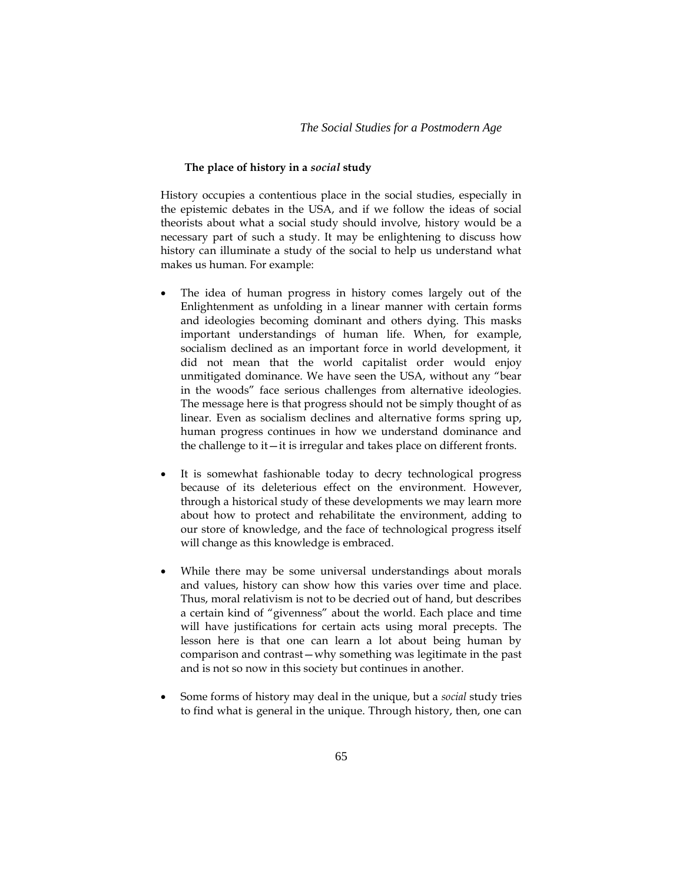# *The Social Studies for a Postmodern Age*

### **The place of history in a** *social* **study**

History occupies a contentious place in the social studies, especially in the epistemic debates in the USA, and if we follow the ideas of social theorists about what a social study should involve, history would be a necessary part of such a study. It may be enlightening to discuss how history can illuminate a study of the social to help us understand what makes us human. For example:

- The idea of human progress in history comes largely out of the Enlightenment as unfolding in a linear manner with certain forms and ideologies becoming dominant and others dying. This masks important understandings of human life. When, for example, socialism declined as an important force in world development, it did not mean that the world capitalist order would enjoy unmitigated dominance. We have seen the USA, without any "bear in the woods" face serious challenges from alternative ideologies. The message here is that progress should not be simply thought of as linear. Even as socialism declines and alternative forms spring up, human progress continues in how we understand dominance and the challenge to it—it is irregular and takes place on different fronts.
- It is somewhat fashionable today to decry technological progress because of its deleterious effect on the environment. However, through a historical study of these developments we may learn more about how to protect and rehabilitate the environment, adding to our store of knowledge, and the face of technological progress itself will change as this knowledge is embraced.
- While there may be some universal understandings about morals and values, history can show how this varies over time and place. Thus, moral relativism is not to be decried out of hand, but describes a certain kind of "givenness" about the world. Each place and time will have justifications for certain acts using moral precepts. The lesson here is that one can learn a lot about being human by comparison and contrast—why something was legitimate in the past and is not so now in this society but continues in another.
- Some forms of history may deal in the unique, but a *social* study tries to find what is general in the unique. Through history, then, one can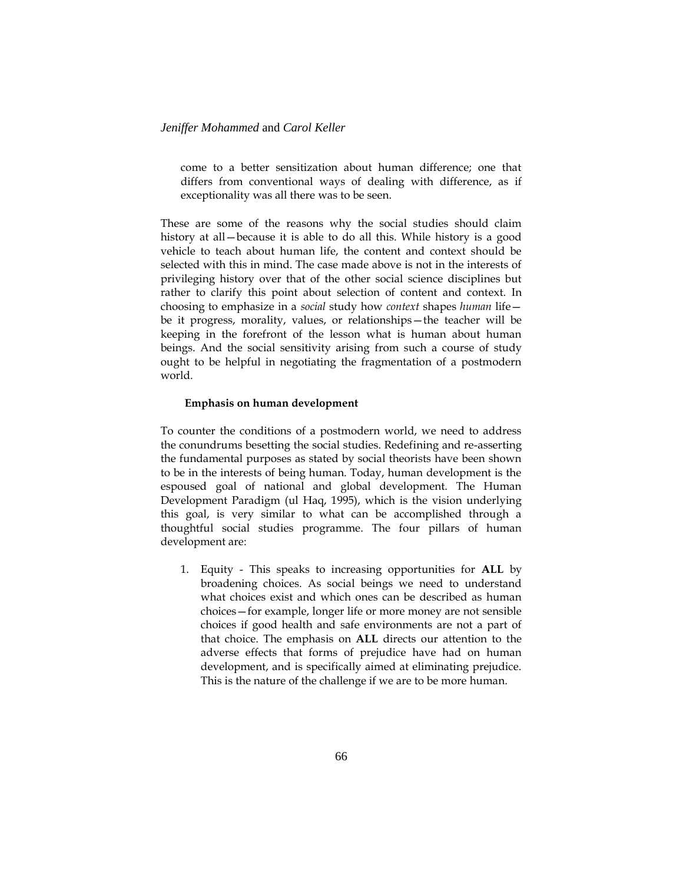come to a better sensitization about human difference; one that differs from conventional ways of dealing with difference, as if exceptionality was all there was to be seen.

These are some of the reasons why the social studies should claim history at all—because it is able to do all this. While history is a good vehicle to teach about human life, the content and context should be selected with this in mind. The case made above is not in the interests of privileging history over that of the other social science disciplines but rather to clarify this point about selection of content and context. In choosing to emphasize in a *social* study how *context* shapes *human* life be it progress, morality, values, or relationships—the teacher will be keeping in the forefront of the lesson what is human about human beings. And the social sensitivity arising from such a course of study ought to be helpful in negotiating the fragmentation of a postmodern world.

### **Emphasis on human development**

To counter the conditions of a postmodern world, we need to address the conundrums besetting the social studies. Redefining and re-asserting the fundamental purposes as stated by social theorists have been shown to be in the interests of being human. Today, human development is the espoused goal of national and global development. The Human Development Paradigm (ul Haq, 1995), which is the vision underlying this goal, is very similar to what can be accomplished through a thoughtful social studies programme. The four pillars of human development are:

1. Equity - This speaks to increasing opportunities for **ALL** by broadening choices. As social beings we need to understand what choices exist and which ones can be described as human choices—for example, longer life or more money are not sensible choices if good health and safe environments are not a part of that choice. The emphasis on **ALL** directs our attention to the adverse effects that forms of prejudice have had on human development, and is specifically aimed at eliminating prejudice. This is the nature of the challenge if we are to be more human.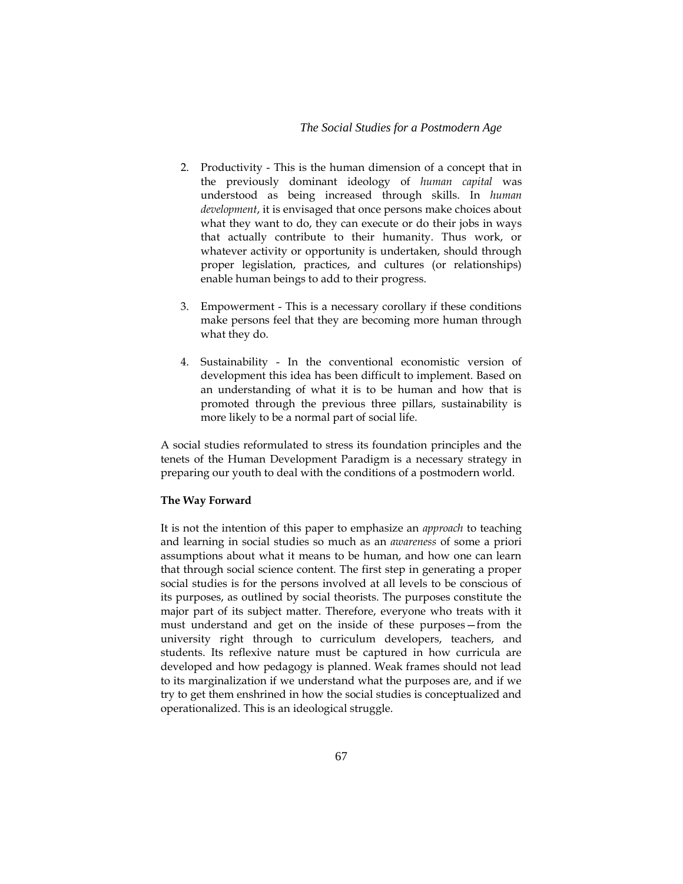### *The Social Studies for a Postmodern Age*

- 2. Productivity This is the human dimension of a concept that in the previously dominant ideology of *human capital* was understood as being increased through skills. In *human development*, it is envisaged that once persons make choices about what they want to do, they can execute or do their jobs in ways that actually contribute to their humanity. Thus work, or whatever activity or opportunity is undertaken, should through proper legislation, practices, and cultures (or relationships) enable human beings to add to their progress.
- 3. Empowerment This is a necessary corollary if these conditions make persons feel that they are becoming more human through what they do.
- 4. Sustainability In the conventional economistic version of development this idea has been difficult to implement. Based on an understanding of what it is to be human and how that is promoted through the previous three pillars, sustainability is more likely to be a normal part of social life.

A social studies reformulated to stress its foundation principles and the tenets of the Human Development Paradigm is a necessary strategy in preparing our youth to deal with the conditions of a postmodern world.

### **The Way Forward**

It is not the intention of this paper to emphasize an *approach* to teaching and learning in social studies so much as an *awareness* of some a priori assumptions about what it means to be human, and how one can learn that through social science content. The first step in generating a proper social studies is for the persons involved at all levels to be conscious of its purposes, as outlined by social theorists. The purposes constitute the major part of its subject matter. Therefore, everyone who treats with it must understand and get on the inside of these purposes—from the university right through to curriculum developers, teachers, and students. Its reflexive nature must be captured in how curricula are developed and how pedagogy is planned. Weak frames should not lead to its marginalization if we understand what the purposes are, and if we try to get them enshrined in how the social studies is conceptualized and operationalized. This is an ideological struggle.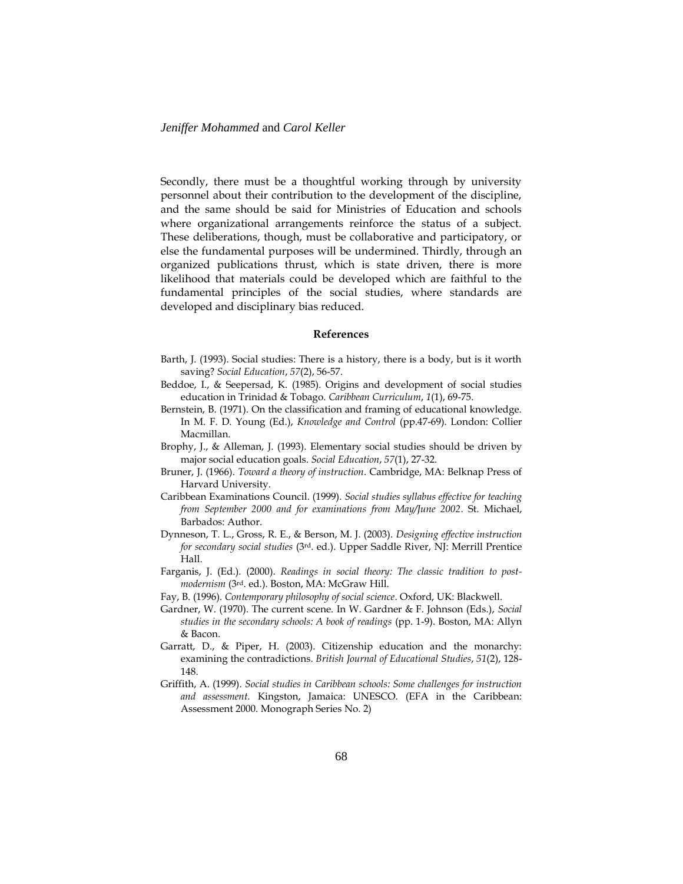Secondly, there must be a thoughtful working through by university personnel about their contribution to the development of the discipline, and the same should be said for Ministries of Education and schools where organizational arrangements reinforce the status of a subject. These deliberations, though, must be collaborative and participatory, or else the fundamental purposes will be undermined. Thirdly, through an organized publications thrust, which is state driven, there is more likelihood that materials could be developed which are faithful to the fundamental principles of the social studies, where standards are developed and disciplinary bias reduced.

### **References**

- Barth, J. (1993). Social studies: There is a history, there is a body, but is it worth saving? *Social Education*, *57*(2), 56-57.
- Beddoe, I., & Seepersad, K. (1985). Origins and development of social studies education in Trinidad & Tobago. *Caribbean Curriculum*, *1*(1), 69-75.
- Bernstein, B. (1971). On the classification and framing of educational knowledge. In M. F. D. Young (Ed.), *Knowledge and Control* (pp.47-69). London: Collier Macmillan.
- Brophy, J., & Alleman, J. (1993). Elementary social studies should be driven by major social education goals. *Social Education*, *57*(1), 27-32.
- Bruner, J. (1966). *Toward a theory of instruction*. Cambridge, MA: Belknap Press of Harvard University.
- Caribbean Examinations Council. (1999). *Social studies syllabus effective for teaching from September 2000 and for examinations from May/June 2002*. St. Michael, Barbados: Author.
- Dynneson, T. L., Gross, R. E., & Berson, M. J. (2003). *Designing effective instruction for secondary social studies* (3rd. ed.). Upper Saddle River, NJ: Merrill Prentice Hall.
- Farganis, J. (Ed.). (2000). *Readings in social theory: The classic tradition to postmodernism* (3rd. ed.). Boston, MA: McGraw Hill.
- Fay, B. (1996). *Contemporary philosophy of social science*. Oxford, UK: Blackwell.
- Gardner, W. (1970). The current scene. In W. Gardner & F. Johnson (Eds.), *Social studies in the secondary schools: A book of readings* (pp. 1-9). Boston, MA: Allyn & Bacon.
- Garratt, D., & Piper, H. (2003). Citizenship education and the monarchy: examining the contradictions. *British Journal of Educational Studies*, *51*(2), 128- 148.
- Griffith, A. (1999). *Social studies in Caribbean schools: Some challenges for instruction and assessment.* Kingston, Jamaica: UNESCO. (EFA in the Caribbean: Assessment 2000. Monograph Series No. 2)